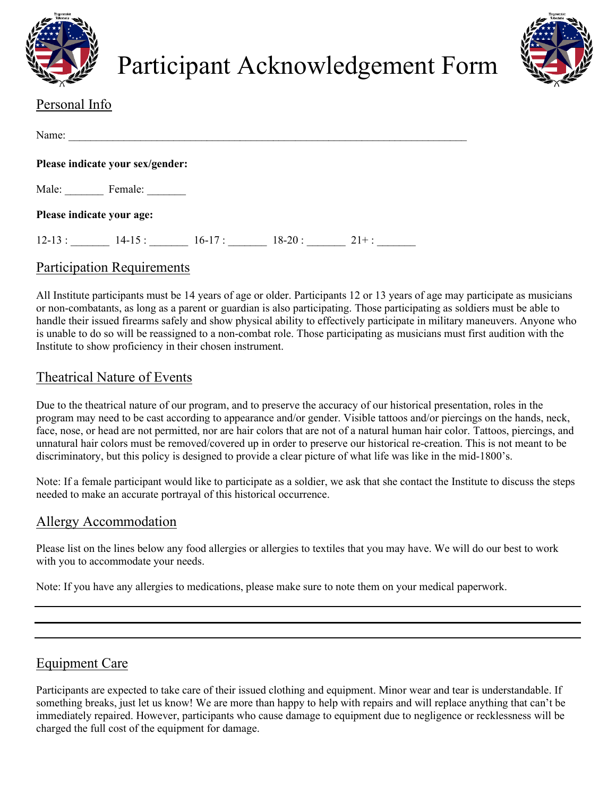

Participant Acknowledgement Form



# Personal Info

| Name:                     |                                              |
|---------------------------|----------------------------------------------|
|                           | Please indicate your sex/gender:             |
| Male:                     | Female:                                      |
| Please indicate your age: |                                              |
| $12 - 13:$                | $16-17:$<br>$18-20:$<br>$14 - 15:$<br>$21+:$ |

### Participation Requirements

All Institute participants must be 14 years of age or older. Participants 12 or 13 years of age may participate as musicians or non-combatants, as long as a parent or guardian is also participating. Those participating as soldiers must be able to handle their issued firearms safely and show physical ability to effectively participate in military maneuvers. Anyone who is unable to do so will be reassigned to a non-combat role. Those participating as musicians must first audition with the Institute to show proficiency in their chosen instrument.

### Theatrical Nature of Events

Due to the theatrical nature of our program, and to preserve the accuracy of our historical presentation, roles in the program may need to be cast according to appearance and/or gender. Visible tattoos and/or piercings on the hands, neck, face, nose, or head are not permitted, nor are hair colors that are not of a natural human hair color. Tattoos, piercings, and unnatural hair colors must be removed/covered up in order to preserve our historical re-creation. This is not meant to be discriminatory, but this policy is designed to provide a clear picture of what life was like in the mid-1800's.

Note: If a female participant would like to participate as a soldier, we ask that she contact the Institute to discuss the steps needed to make an accurate portrayal of this historical occurrence.

#### Allergy Accommodation

Please list on the lines below any food allergies or allergies to textiles that you may have. We will do our best to work with you to accommodate your needs.

Note: If you have any allergies to medications, please make sure to note them on your medical paperwork.

#### Equipment Care

Participants are expected to take care of their issued clothing and equipment. Minor wear and tear is understandable. If something breaks, just let us know! We are more than happy to help with repairs and will replace anything that can't be immediately repaired. However, participants who cause damage to equipment due to negligence or recklessness will be charged the full cost of the equipment for damage.